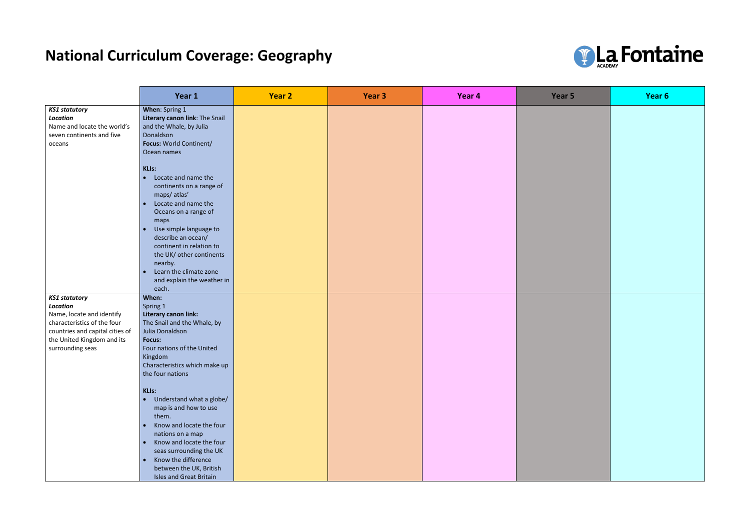## **National Curriculum Coverage: Geography**

| Year 1                                                                                                                                                                                                                                                                                                                                                                                                                                                 | <b>Year 2</b>                                             | Year <sub>3</sub> | Year 4 | Year 5 | Year <sub>6</sub> |
|--------------------------------------------------------------------------------------------------------------------------------------------------------------------------------------------------------------------------------------------------------------------------------------------------------------------------------------------------------------------------------------------------------------------------------------------------------|-----------------------------------------------------------|-------------------|--------|--------|-------------------|
| When: Spring 1<br>Literary canon link: The Snail<br>and the Whale, by Julia<br>Donaldson<br>Focus: World Continent/<br>Ocean names                                                                                                                                                                                                                                                                                                                     |                                                           |                   |        |        |                   |
| KLIs:<br>Locate and name the<br>$\bullet$<br>continents on a range of<br>maps/atlas'<br>Locate and name the<br>$\bullet$<br>Oceans on a range of<br>maps<br>Use simple language to<br>$\bullet$<br>describe an ocean/<br>continent in relation to<br>the UK/ other continents<br>nearby.<br>Learn the climate zone<br>and explain the weather in<br>each.                                                                                              |                                                           |                   |        |        |                   |
| When:<br>Spring 1<br>Literary canon link:<br>The Snail and the Whale, by<br>Julia Donaldson<br><b>Focus:</b><br>Four nations of the United<br>Kingdom<br>Characteristics which make up<br>the four nations<br>KLIs:<br>Understand what a globe/<br>$\bullet$<br>map is and how to use<br>them.<br>Know and locate the four<br>$\bullet$<br>nations on a map<br>Know and locate the four<br>$\bullet$<br>seas surrounding the UK<br>Know the difference |                                                           |                   |        |        |                   |
|                                                                                                                                                                                                                                                                                                                                                                                                                                                        | between the UK, British<br><b>Isles and Great Britain</b> |                   |        |        |                   |



| $\cdot$ 5 | Year 6 |
|-----------|--------|
|           |        |
|           |        |
|           |        |
|           |        |
|           |        |
|           |        |
|           |        |
|           |        |
|           |        |
|           |        |
|           |        |
|           |        |
|           |        |
|           |        |
|           |        |
|           |        |
|           |        |
|           |        |
|           |        |
|           |        |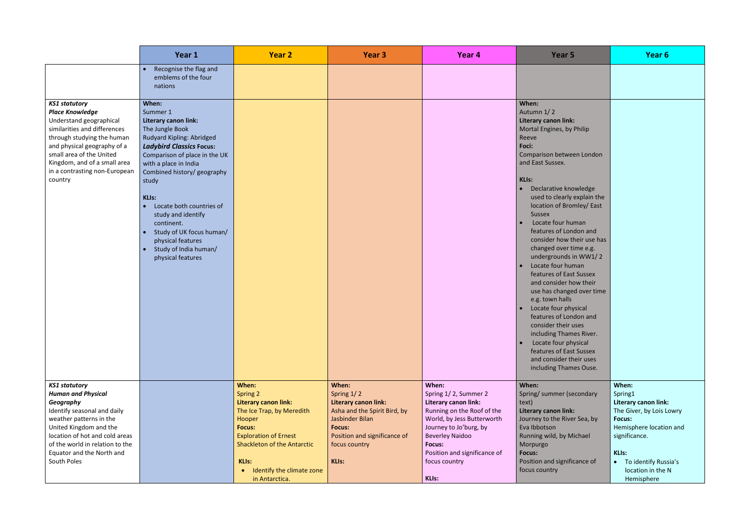|                                                                                                                                                                                                                                                                                | Year 1                                                                                                                                                                                                                                                                                                                                                                                                               | <b>Year 2</b>                                                                                                                                                                                                                                 | Year <sub>3</sub>                                                                                                                                                                | Year 4                                                                                                                                                                                                                                                  | Year 5                                                                                                                                                                                                                                                                                                                                                                                                                                                                                                                                                                                                                                                                                                                    | Year <sub>6</sub>                                                                                                                                                                                       |
|--------------------------------------------------------------------------------------------------------------------------------------------------------------------------------------------------------------------------------------------------------------------------------|----------------------------------------------------------------------------------------------------------------------------------------------------------------------------------------------------------------------------------------------------------------------------------------------------------------------------------------------------------------------------------------------------------------------|-----------------------------------------------------------------------------------------------------------------------------------------------------------------------------------------------------------------------------------------------|----------------------------------------------------------------------------------------------------------------------------------------------------------------------------------|---------------------------------------------------------------------------------------------------------------------------------------------------------------------------------------------------------------------------------------------------------|---------------------------------------------------------------------------------------------------------------------------------------------------------------------------------------------------------------------------------------------------------------------------------------------------------------------------------------------------------------------------------------------------------------------------------------------------------------------------------------------------------------------------------------------------------------------------------------------------------------------------------------------------------------------------------------------------------------------------|---------------------------------------------------------------------------------------------------------------------------------------------------------------------------------------------------------|
|                                                                                                                                                                                                                                                                                | Recognise the flag and<br>emblems of the four<br>nations                                                                                                                                                                                                                                                                                                                                                             |                                                                                                                                                                                                                                               |                                                                                                                                                                                  |                                                                                                                                                                                                                                                         |                                                                                                                                                                                                                                                                                                                                                                                                                                                                                                                                                                                                                                                                                                                           |                                                                                                                                                                                                         |
| <b>KS1 statutory</b><br><b>Place Knowledge</b><br>Understand geographical<br>similarities and differences<br>through studying the human<br>and physical geography of a<br>small area of the United<br>Kingdom, and of a small area<br>in a contrasting non-European<br>country | When:<br>Summer 1<br><b>Literary canon link:</b><br>The Jungle Book<br>Rudyard Kipling: Abridged<br><b>Ladybird Classics Focus:</b><br>Comparison of place in the UK<br>with a place in India<br>Combined history/ geography<br>study<br><b>KLIs:</b><br>Locate both countries of<br>study and identify<br>continent.<br>Study of UK focus human/<br>physical features<br>Study of India human/<br>physical features |                                                                                                                                                                                                                                               |                                                                                                                                                                                  |                                                                                                                                                                                                                                                         | When:<br>Autumn 1/2<br>Literary canon link:<br>Mortal Engines, by Philip<br>Reeve<br>Foci:<br>Comparison between London<br>and East Sussex.<br>KLIs:<br>Declarative knowledge<br>used to clearly explain the<br>location of Bromley/ East<br>Sussex<br>Locate four human<br>features of London and<br>consider how their use has<br>changed over time e.g.<br>undergrounds in WW1/2<br>Locate four human<br>features of East Sussex<br>and consider how their<br>use has changed over time<br>e.g. town halls<br>Locate four physical<br>features of London and<br>consider their uses<br>including Thames River.<br>Locate four physical<br>features of East Sussex<br>and consider their uses<br>including Thames Ouse. |                                                                                                                                                                                                         |
| <b>KS1 statutory</b><br><b>Human and Physical</b><br>Geography<br>Identify seasonal and daily<br>weather patterns in the<br>United Kingdom and the<br>location of hot and cold areas<br>of the world in relation to the<br>Equator and the North and<br>South Poles            |                                                                                                                                                                                                                                                                                                                                                                                                                      | When:<br><b>Spring 2</b><br>Literary canon link:<br>The Ice Trap, by Meredith<br>Hooper<br><b>Focus:</b><br><b>Exploration of Ernest</b><br><b>Shackleton of the Antarctic</b><br><b>KLIs:</b><br>Identify the climate zone<br>in Antarctica. | When:<br>Spring 1/2<br>Literary canon link:<br>Asha and the Spirit Bird, by<br>Jasbinder Bilan<br><b>Focus:</b><br>Position and significance of<br>focus country<br><b>KLIs:</b> | When:<br>Spring 1/2, Summer 2<br>Literary canon link:<br>Running on the Roof of the<br>World, by Jess Butterworth<br>Journey to Jo'burg, by<br><b>Beverley Naidoo</b><br><b>Focus:</b><br>Position and significance of<br>focus country<br><b>KLIs:</b> | When:<br>Spring/ summer (secondary<br>text)<br>Literary canon link:<br>Journey to the River Sea, by<br>Eva Ibbotson<br>Running wild, by Michael<br>Morpurgo<br><b>Focus:</b><br>Position and significance of<br>focus country                                                                                                                                                                                                                                                                                                                                                                                                                                                                                             | When:<br>Spring1<br>Literary canon link:<br>The Giver, by Lois Lowry<br>Focus:<br>Hemisphere location and<br>significance.<br><b>KLIs:</b><br>• To identify Russia's<br>location in the N<br>Hemisphere |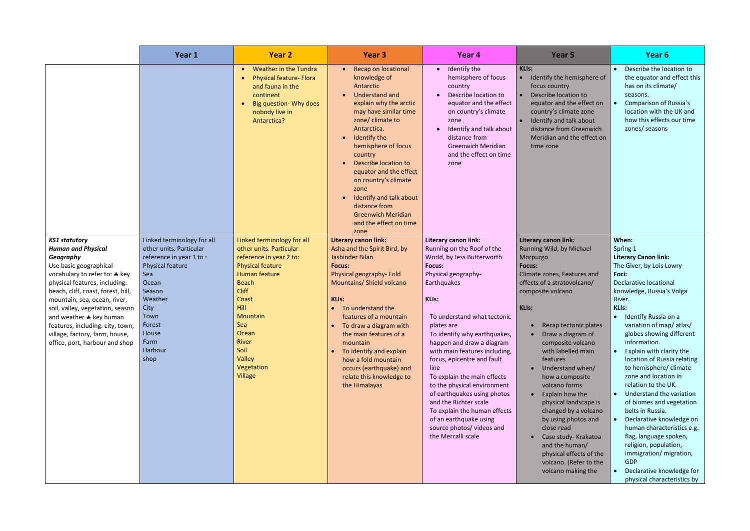|                                                                                                                                                                                                                                                                                                                                                                                                         | Year 1                                                                                                                                                                                                         | <b>Year 2</b>                                                                                                                                                                                                                                                        | Year <sub>3</sub>                                                                                                                                                                                                                                                                                                                                                                                                 | Year <sub>4</sub>                                                                                                                                                                                                                                                                                                                                                                                                                                                                                                                                                           | Year 5                                                                                                                                                                                                                                                                                                                                                                                                                                                                                                                                                                                   | Year 6                                                                                                                                                                                                                                                                                                                                                                                                                                                                                                                                                                                                                                                                                                         |
|---------------------------------------------------------------------------------------------------------------------------------------------------------------------------------------------------------------------------------------------------------------------------------------------------------------------------------------------------------------------------------------------------------|----------------------------------------------------------------------------------------------------------------------------------------------------------------------------------------------------------------|----------------------------------------------------------------------------------------------------------------------------------------------------------------------------------------------------------------------------------------------------------------------|-------------------------------------------------------------------------------------------------------------------------------------------------------------------------------------------------------------------------------------------------------------------------------------------------------------------------------------------------------------------------------------------------------------------|-----------------------------------------------------------------------------------------------------------------------------------------------------------------------------------------------------------------------------------------------------------------------------------------------------------------------------------------------------------------------------------------------------------------------------------------------------------------------------------------------------------------------------------------------------------------------------|------------------------------------------------------------------------------------------------------------------------------------------------------------------------------------------------------------------------------------------------------------------------------------------------------------------------------------------------------------------------------------------------------------------------------------------------------------------------------------------------------------------------------------------------------------------------------------------|----------------------------------------------------------------------------------------------------------------------------------------------------------------------------------------------------------------------------------------------------------------------------------------------------------------------------------------------------------------------------------------------------------------------------------------------------------------------------------------------------------------------------------------------------------------------------------------------------------------------------------------------------------------------------------------------------------------|
|                                                                                                                                                                                                                                                                                                                                                                                                         |                                                                                                                                                                                                                | Weather in the Tundra<br>$\bullet$<br><b>Physical feature- Flora</b><br>and fauna in the<br>continent<br>Big question- Why does<br>nobody live in<br>Antarctica?                                                                                                     | <b>Recap on locational</b><br>knowledge of<br>Antarctic<br>Understand and<br>explain why the arctic<br>may have similar time<br>zone/ climate to<br>Antarctica.<br>Identify the<br>hemisphere of focus<br>country<br>Describe location to<br>equator and the effect<br>on country's climate<br>zone<br>Identify and talk about<br>distance from<br><b>Greenwich Meridian</b><br>and the effect on time<br>zone    | Identify the<br>$\bullet$<br>hemisphere of focus<br>country<br>Describe location to<br>$\bullet$<br>equator and the effect<br>on country's climate<br>zone<br>Identify and talk about<br>distance from<br><b>Greenwich Meridian</b><br>and the effect on time<br>zone                                                                                                                                                                                                                                                                                                       | <b>KLIs:</b><br>Identify the hemisphere of<br>focus country<br>Describe location to<br>equator and the effect on<br>country's climate zone<br>Identify and talk about<br>distance from Greenwich<br>Meridian and the effect on<br>time zone                                                                                                                                                                                                                                                                                                                                              | Describe the location to<br>the equator and effect this<br>has on its climate/<br>seasons.<br><b>Comparison of Russia's</b><br>location with the UK and<br>how this effects our time<br>zones/ seasons                                                                                                                                                                                                                                                                                                                                                                                                                                                                                                         |
| <b>KS1 statutory</b><br><b>Human and Physical</b><br>Geography<br>Use basic geographical<br>vocabulary to refer to: * key<br>physical features, including:<br>beach, cliff, coast, forest, hill,<br>mountain, sea, ocean, river,<br>soil, valley, vegetation, season<br>and weather * key human<br>features, including: city, town,<br>village, factory, farm, house,<br>office, port, harbour and shop | Linked terminology for all<br>other units. Particular<br>reference in year 1 to:<br><b>Physical feature</b><br>Sea<br>Ocean<br>Season<br>Weather<br>City<br>Town<br>Forest<br>House<br>Farm<br>Harbour<br>shop | Linked terminology for all<br>other units. Particular<br>reference in year 2 to:<br><b>Physical feature</b><br>Human feature<br><b>Beach</b><br><b>Cliff</b><br>Coast<br>Hill<br>Mountain<br>Sea<br>Ocean<br>River<br>Soil<br>Valley<br>Vegetation<br><b>Village</b> | <b>Literary canon link:</b><br>Asha and the Spirit Bird, by<br>Jasbinder Bilan<br><b>Focus:</b><br>Physical geography- Fold<br>Mountains/ Shield volcano<br><b>KLIs:</b><br>To understand the<br>features of a mountain<br>To draw a diagram with<br>the main features of a<br>mountain<br>To identify and explain<br>how a fold mountain<br>occurs (earthquake) and<br>relate this knowledge to<br>the Himalayas | Literary canon link:<br>Running on the Roof of the<br>World, by Jess Butterworth<br><b>Focus:</b><br>Physical geography-<br>Earthquakes<br><b>KLIs:</b><br>To understand what tectonic<br>plates are<br>To identify why earthquakes,<br>happen and draw a diagram<br>with main features including,<br>focus, epicentre and fault<br>line<br>To explain the main effects<br>to the physical environment<br>of earthquakes using photos<br>and the Richter scale<br>To explain the human effects<br>of an earthquake using<br>source photos/ videos and<br>the Mercalli scale | Literary canon link:<br>Running Wild, by Michael<br>Morpurgo<br><b>Focus:</b><br>Climate zones, Features and<br>effects of a stratovolcano/<br>composite volcano<br><b>KLIs:</b><br>Recap tectonic plates<br>Draw a diagram of<br>composite volcano<br>with labelled main<br>features<br>Understand when/<br>how a composite<br>volcano forms<br>Explain how the<br>$\bullet$<br>physical landscape is<br>changed by a volcano<br>by using photos and<br>close read<br>Case study- Krakatoa<br>and the human/<br>physical effects of the<br>volcano. (Refer to the<br>volcano making the | When:<br>Spring 1<br><b>Literary Canon link:</b><br>The Giver, by Lois Lowry<br>Foci:<br>Declarative locational<br>knowledge, Russia's Volga<br>River.<br><b>KLIs:</b><br>Identify Russia on a<br>variation of map/ atlas/<br>globes showing different<br>information.<br>Explain with clarity the<br>$\bullet$<br>location of Russia relating<br>to hemisphere/ climate<br>zone and location in<br>relation to the UK.<br>Understand the variation<br>of biomes and vegetation<br>belts in Russia.<br>Declarative knowledge on<br>human characteristics e.g.<br>flag, language spoken,<br>religion, population,<br>immigration/ migration,<br>GDP<br>Declarative knowledge for<br>physical characteristics by |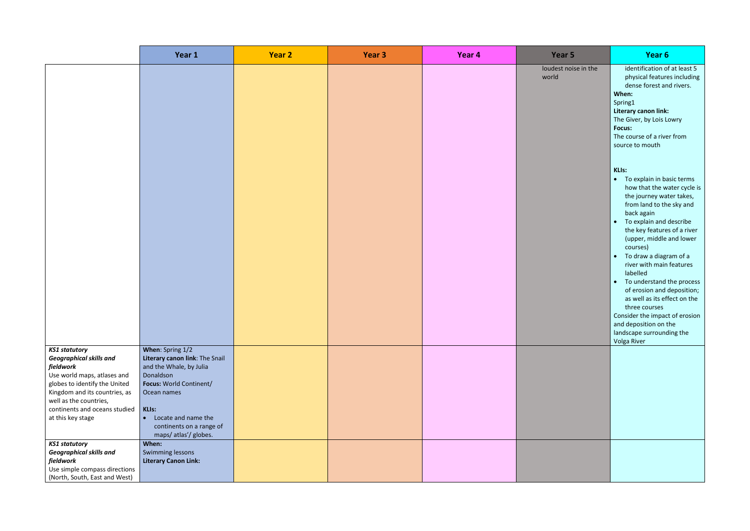| <b>Year 5</b>                 | Year <sub>6</sub>                                                                                                                                                                                                                                                                                                                                                                                                                                                                                                                            |
|-------------------------------|----------------------------------------------------------------------------------------------------------------------------------------------------------------------------------------------------------------------------------------------------------------------------------------------------------------------------------------------------------------------------------------------------------------------------------------------------------------------------------------------------------------------------------------------|
| loudest noise in the<br>world | identification of at least 5<br>physical features including<br>dense forest and rivers.<br>When:<br>Spring1<br>Literary canon link:<br>The Giver, by Lois Lowry<br>Focus:<br>The course of a river from<br>source to mouth                                                                                                                                                                                                                                                                                                                   |
|                               | <b>KLIs:</b><br>To explain in basic terms<br>how that the water cycle is<br>the journey water takes,<br>from land to the sky and<br>back again<br>To explain and describe<br>the key features of a river<br>(upper, middle and lower<br>courses)<br>To draw a diagram of a<br>river with main features<br>labelled<br>To understand the process<br>of erosion and deposition;<br>as well as its effect on the<br>three courses<br>Consider the impact of erosion<br>and deposition on the<br>landscape surrounding the<br><b>Volga River</b> |
|                               |                                                                                                                                                                                                                                                                                                                                                                                                                                                                                                                                              |
|                               |                                                                                                                                                                                                                                                                                                                                                                                                                                                                                                                                              |

|                                                                                                                                                                                                                                                      | Year 1                                                                                                                                                                                                                                 | <b>Year 2</b> | Year 3 | Year 4 | Year 5                        | Year <sub>6</sub>                                                                                                                                                                                                                                                                                                                                                                                                       |
|------------------------------------------------------------------------------------------------------------------------------------------------------------------------------------------------------------------------------------------------------|----------------------------------------------------------------------------------------------------------------------------------------------------------------------------------------------------------------------------------------|---------------|--------|--------|-------------------------------|-------------------------------------------------------------------------------------------------------------------------------------------------------------------------------------------------------------------------------------------------------------------------------------------------------------------------------------------------------------------------------------------------------------------------|
|                                                                                                                                                                                                                                                      |                                                                                                                                                                                                                                        |               |        |        | loudest noise in the<br>world | identification of<br>physical feature<br>dense forest an<br>When:<br>Spring1<br>Literary canon link:<br>The Giver, by Lois L<br>Focus:<br>The course of a rive<br>source to mouth                                                                                                                                                                                                                                       |
|                                                                                                                                                                                                                                                      |                                                                                                                                                                                                                                        |               |        |        |                               | KLIs:<br>• To explain in ba<br>how that the w<br>the journey wa<br>from land to th<br>back again<br>To explain and<br>$\bullet$<br>the key feature<br>(upper, middle<br>courses)<br>To draw a diagr<br>$\bullet$<br>river with main<br>labelled<br>To understand<br>$\bullet$<br>of erosion and<br>as well as its ef<br>three courses<br>Consider the impac<br>and deposition on t<br>landscape surround<br>Volga River |
| <b>KS1 statutory</b><br><b>Geographical skills and</b><br>fieldwork<br>Use world maps, atlases and<br>globes to identify the United<br>Kingdom and its countries, as<br>well as the countries,<br>continents and oceans studied<br>at this key stage | When: Spring 1/2<br>Literary canon link: The Snail<br>and the Whale, by Julia<br>Donaldson<br>Focus: World Continent/<br>Ocean names<br>KLIs:<br>Locate and name the<br>$\bullet$<br>continents on a range of<br>maps/ atlas'/ globes. |               |        |        |                               |                                                                                                                                                                                                                                                                                                                                                                                                                         |
| <b>KS1 statutory</b><br><b>Geographical skills and</b><br>fieldwork<br>Use simple compass directions<br>(North, South, East and West)                                                                                                                | When:<br>Swimming lessons<br><b>Literary Canon Link:</b>                                                                                                                                                                               |               |        |        |                               |                                                                                                                                                                                                                                                                                                                                                                                                                         |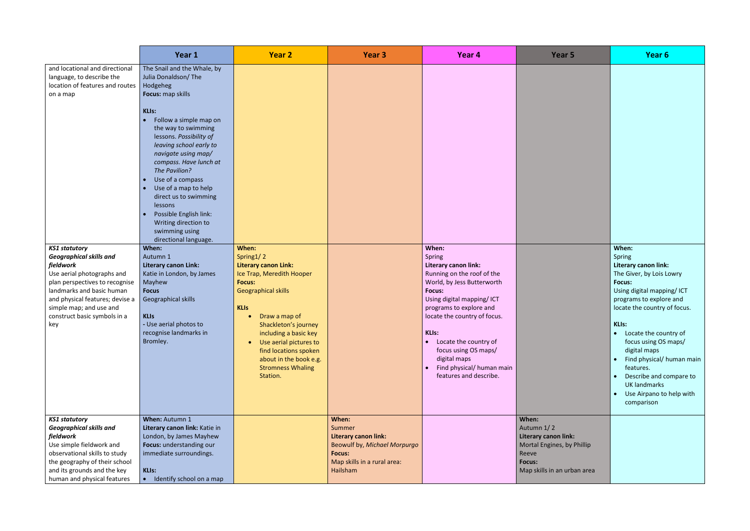| r 5               | Year <sub>6</sub>                                                                                                                                                                                                                                                                                                                                                                                   |
|-------------------|-----------------------------------------------------------------------------------------------------------------------------------------------------------------------------------------------------------------------------------------------------------------------------------------------------------------------------------------------------------------------------------------------------|
|                   |                                                                                                                                                                                                                                                                                                                                                                                                     |
|                   | When:<br>Spring<br>Literary canon link:<br>The Giver, by Lois Lowry<br><b>Focus:</b><br>Using digital mapping/ICT<br>programs to explore and<br>locate the country of focus.<br><b>KLIs:</b><br>Locate the country of<br>focus using OS maps/<br>digital maps<br>Find physical/ human main<br>features.<br>Describe and compare to<br><b>UK landmarks</b><br>Use Airpano to help with<br>comparison |
| nk:<br>by Phillip |                                                                                                                                                                                                                                                                                                                                                                                                     |
| ırban area        |                                                                                                                                                                                                                                                                                                                                                                                                     |

|                                                                                                                                                                                                                                                                                                                                                                                     | Year 1                                                                                                                                                                                                                                                                                                                                                                                                                                                                                                                                                                                                                                                              | <b>Year 2</b>                                                                                                                                                                                                                                                                                                                             | Year <sub>3</sub>                                                                                                                          | Year 4                                                                                                                                                                                                                                                                                                                                                        | Year <sub>5</sub>                                                                                                                  | Year <sub>6</sub>                                                                                                                                                                                                                                                                                                                            |
|-------------------------------------------------------------------------------------------------------------------------------------------------------------------------------------------------------------------------------------------------------------------------------------------------------------------------------------------------------------------------------------|---------------------------------------------------------------------------------------------------------------------------------------------------------------------------------------------------------------------------------------------------------------------------------------------------------------------------------------------------------------------------------------------------------------------------------------------------------------------------------------------------------------------------------------------------------------------------------------------------------------------------------------------------------------------|-------------------------------------------------------------------------------------------------------------------------------------------------------------------------------------------------------------------------------------------------------------------------------------------------------------------------------------------|--------------------------------------------------------------------------------------------------------------------------------------------|---------------------------------------------------------------------------------------------------------------------------------------------------------------------------------------------------------------------------------------------------------------------------------------------------------------------------------------------------------------|------------------------------------------------------------------------------------------------------------------------------------|----------------------------------------------------------------------------------------------------------------------------------------------------------------------------------------------------------------------------------------------------------------------------------------------------------------------------------------------|
| and locational and directional<br>language, to describe the<br>location of features and routes<br>on a map<br><b>KS1 statutory</b><br><b>Geographical skills and</b><br>fieldwork<br>Use aerial photographs and<br>plan perspectives to recognise<br>landmarks and basic human<br>and physical features; devise a<br>simple map; and use and<br>construct basic symbols in a<br>key | The Snail and the Whale, by<br>Julia Donaldson/The<br>Hodgeheg<br>Focus: map skills<br>KLIs:<br>Follow a simple map on<br>the way to swimming<br>lessons. Possibility of<br>leaving school early to<br>navigate using map/<br>compass. Have lunch at<br>The Pavilion?<br>Use of a compass<br>Use of a map to help<br>direct us to swimming<br>lessons<br>Possible English link:<br>Writing direction to<br>swimming using<br>directional language.<br>When:<br>Autumn 1<br><b>Literary canon Link:</b><br>Katie in London, by James<br>Mayhew<br><b>Focus</b><br>Geographical skills<br><b>KLIs</b><br>- Use aerial photos to<br>recognise landmarks in<br>Bromley. | When:<br>Spring1/2<br><b>Literary canon Link:</b><br>Ice Trap, Meredith Hooper<br><b>Focus:</b><br>Geographical skills<br><b>KLIs</b><br>Draw a map of<br>Shackleton's journey<br>including a basic key<br>Use aerial pictures to<br>$\bullet$<br>find locations spoken<br>about in the book e.g.<br><b>Stromness Whaling</b><br>Station. |                                                                                                                                            | When:<br>Spring<br><b>Literary canon link:</b><br>Running on the roof of the<br>World, by Jess Butterworth<br><b>Focus:</b><br>Using digital mapping/ICT<br>programs to explore and<br>locate the country of focus.<br><b>KLIs:</b><br>• Locate the country of<br>focus using OS maps/<br>digital maps<br>Find physical/ human main<br>features and describe. |                                                                                                                                    | When:<br>Spring<br>Literary canon link:<br>The Giver, by Lois L<br><b>Focus:</b><br>Using digital mappi<br>programs to explor<br>locate the country o<br><b>KLIs:</b><br>Locate the cour<br>$\bullet$<br>focus using OS<br>digital maps<br>Find physical/ h<br>$\bullet$<br>features.<br>Describe and co<br>$\bullet$<br><b>UK landmarks</b> |
|                                                                                                                                                                                                                                                                                                                                                                                     |                                                                                                                                                                                                                                                                                                                                                                                                                                                                                                                                                                                                                                                                     |                                                                                                                                                                                                                                                                                                                                           |                                                                                                                                            |                                                                                                                                                                                                                                                                                                                                                               |                                                                                                                                    | Use Airpano to<br>$\bullet$<br>comparison                                                                                                                                                                                                                                                                                                    |
| <b>KS1 statutory</b><br><b>Geographical skills and</b><br>fieldwork<br>Use simple fieldwork and<br>observational skills to study<br>the geography of their school<br>and its grounds and the key<br>human and physical features                                                                                                                                                     | When: Autumn 1<br>Literary canon link: Katie in<br>London, by James Mayhew<br>Focus: understanding our<br>immediate surroundings.<br>KLIs:<br>Identify school on a map<br>$\bullet$                                                                                                                                                                                                                                                                                                                                                                                                                                                                                 |                                                                                                                                                                                                                                                                                                                                           | When:<br>Summer<br><b>Literary canon link:</b><br>Beowulf by, Michael Morpurgo<br><b>Focus:</b><br>Map skills in a rural area:<br>Hailsham |                                                                                                                                                                                                                                                                                                                                                               | When:<br>Autumn 1/2<br><b>Literary canon link:</b><br>Mortal Engines, by Phillip<br>Reeve<br>Focus:<br>Map skills in an urban area |                                                                                                                                                                                                                                                                                                                                              |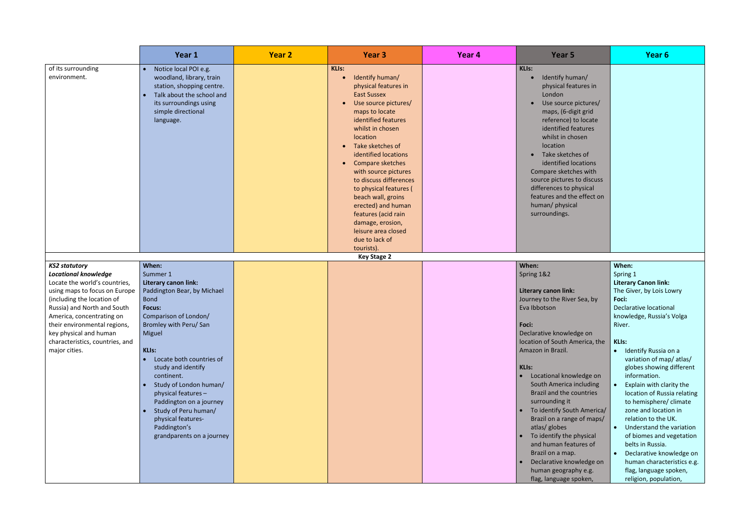|                                                                                                                                                                                                                                                                                                                               | Year 1                                                                                                                                                                                                                                                                                                                                                                                                                       | <b>Year 2</b> | <b>Year 3</b>                                                                                                                                                                                                                                                                                                                                                                                                                                              | Year 4 | Year 5                                                                                                                                                                                                                                                                                                                                                                                                                                                                                                                                                | Year <sub>6</sub>                                                                                                                                                                                                                                                                                                                                                                                                                                                                                                                                                                                                                          |
|-------------------------------------------------------------------------------------------------------------------------------------------------------------------------------------------------------------------------------------------------------------------------------------------------------------------------------|------------------------------------------------------------------------------------------------------------------------------------------------------------------------------------------------------------------------------------------------------------------------------------------------------------------------------------------------------------------------------------------------------------------------------|---------------|------------------------------------------------------------------------------------------------------------------------------------------------------------------------------------------------------------------------------------------------------------------------------------------------------------------------------------------------------------------------------------------------------------------------------------------------------------|--------|-------------------------------------------------------------------------------------------------------------------------------------------------------------------------------------------------------------------------------------------------------------------------------------------------------------------------------------------------------------------------------------------------------------------------------------------------------------------------------------------------------------------------------------------------------|--------------------------------------------------------------------------------------------------------------------------------------------------------------------------------------------------------------------------------------------------------------------------------------------------------------------------------------------------------------------------------------------------------------------------------------------------------------------------------------------------------------------------------------------------------------------------------------------------------------------------------------------|
| of its surrounding<br>environment.                                                                                                                                                                                                                                                                                            | Notice local POI e.g.<br>woodland, library, train<br>station, shopping centre.<br>Talk about the school and<br>its surroundings using<br>simple directional<br>language.                                                                                                                                                                                                                                                     |               | <b>KLIs:</b><br>Identify human/<br>physical features in<br><b>East Sussex</b><br>Use source pictures/<br>maps to locate<br>identified features<br>whilst in chosen<br>location<br>Take sketches of<br>identified locations<br>Compare sketches<br>with source pictures<br>to discuss differences<br>to physical features (<br>beach wall, groins<br>erected) and human<br>features (acid rain<br>damage, erosion,<br>leisure area closed<br>due to lack of |        | <b>KLIs:</b><br>Identify human/<br>physical features in<br>London<br>Use source pictures/<br>$\bullet$<br>maps, (6-digit grid<br>reference) to locate<br>identified features<br>whilst in chosen<br>location<br>Take sketches of<br>$\bullet$<br>identified locations<br>Compare sketches with<br>source pictures to discuss<br>differences to physical<br>features and the effect on<br>human/ physical<br>surroundings.                                                                                                                             |                                                                                                                                                                                                                                                                                                                                                                                                                                                                                                                                                                                                                                            |
|                                                                                                                                                                                                                                                                                                                               |                                                                                                                                                                                                                                                                                                                                                                                                                              |               | tourists).                                                                                                                                                                                                                                                                                                                                                                                                                                                 |        |                                                                                                                                                                                                                                                                                                                                                                                                                                                                                                                                                       |                                                                                                                                                                                                                                                                                                                                                                                                                                                                                                                                                                                                                                            |
| <b>KS2 statutory</b><br><b>Locational knowledge</b><br>Locate the world's countries,<br>using maps to focus on Europe<br>(including the location of<br>Russia) and North and South<br>America, concentrating on<br>their environmental regions,<br>key physical and human<br>characteristics, countries, and<br>major cities. | When:<br>Summer 1<br>Literary canon link:<br>Paddington Bear, by Michael<br><b>Bond</b><br><b>Focus:</b><br>Comparison of London/<br>Bromley with Peru/ San<br>Miguel<br><b>KLIs:</b><br>Locate both countries of<br>study and identify<br>continent.<br>Study of London human/<br>physical features -<br>Paddington on a journey<br>Study of Peru human/<br>physical features-<br>Paddington's<br>grandparents on a journey |               | <b>Key Stage 2</b>                                                                                                                                                                                                                                                                                                                                                                                                                                         |        | When:<br>Spring 1&2<br>Literary canon link:<br>Journey to the River Sea, by<br>Eva Ibbotson<br>Foci:<br>Declarative knowledge on<br>location of South America, the<br>Amazon in Brazil.<br><b>KLIs:</b><br>Locational knowledge on<br>South America including<br><b>Brazil and the countries</b><br>surrounding it<br>To identify South America/<br>Brazil on a range of maps/<br>atlas/globes<br>To identify the physical<br>and human features of<br>Brazil on a map.<br>Declarative knowledge on<br>human geography e.g.<br>flag, language spoken, | When:<br>Spring 1<br><b>Literary Canon link:</b><br>The Giver, by Lois Lowry<br>Foci:<br>Declarative locational<br>knowledge, Russia's Volga<br>River.<br><b>KLIs:</b><br>Identify Russia on a<br>$\bullet$<br>variation of map/ atlas/<br>globes showing different<br>information.<br>Explain with clarity the<br>location of Russia relating<br>to hemisphere/ climate<br>zone and location in<br>relation to the UK.<br>Understand the variation<br>$\bullet$<br>of biomes and vegetation<br>belts in Russia.<br>Declarative knowledge on<br>$\bullet$<br>human characteristics e.g.<br>flag, language spoken,<br>religion, population, |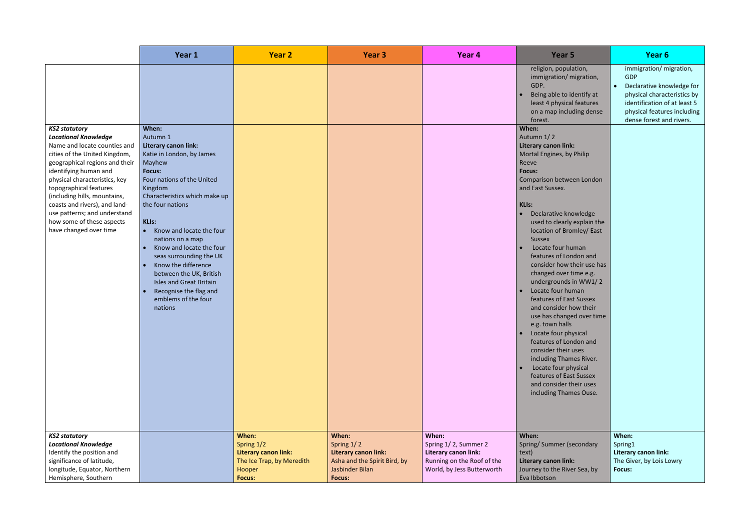|                                                                                                                                                                                                                                                                                                                                                                            | Year 1                                                                                                                                                                                                                                                                                                                                                                                                                                                        | <b>Year 2</b>                                                                                              | Year <sub>3</sub>                                                                                        | Year <sub>4</sub>                                                                                                 | Year 5                                                                                                                                                                                                                                                                                                                                                                                                                                                                                                                                                                                                                                                                                                                   | Year <sub>6</sub>                                                                                                                                                                                  |
|----------------------------------------------------------------------------------------------------------------------------------------------------------------------------------------------------------------------------------------------------------------------------------------------------------------------------------------------------------------------------|---------------------------------------------------------------------------------------------------------------------------------------------------------------------------------------------------------------------------------------------------------------------------------------------------------------------------------------------------------------------------------------------------------------------------------------------------------------|------------------------------------------------------------------------------------------------------------|----------------------------------------------------------------------------------------------------------|-------------------------------------------------------------------------------------------------------------------|--------------------------------------------------------------------------------------------------------------------------------------------------------------------------------------------------------------------------------------------------------------------------------------------------------------------------------------------------------------------------------------------------------------------------------------------------------------------------------------------------------------------------------------------------------------------------------------------------------------------------------------------------------------------------------------------------------------------------|----------------------------------------------------------------------------------------------------------------------------------------------------------------------------------------------------|
| <b>KS2 statutory</b>                                                                                                                                                                                                                                                                                                                                                       | When:                                                                                                                                                                                                                                                                                                                                                                                                                                                         |                                                                                                            |                                                                                                          |                                                                                                                   | religion, population,<br>immigration/ migration,<br>GDP.<br>Being able to identify at<br>least 4 physical features<br>on a map including dense<br>forest.<br>When:                                                                                                                                                                                                                                                                                                                                                                                                                                                                                                                                                       | immigration/ migration,<br>GDP<br>Declarative knowledge for<br>$\bullet$<br>physical characteristics by<br>identification of at least 5<br>physical features including<br>dense forest and rivers. |
| <b>Locational Knowledge</b><br>Name and locate counties and<br>cities of the United Kingdom,<br>geographical regions and their<br>identifying human and<br>physical characteristics, key<br>topographical features<br>(including hills, mountains,<br>coasts and rivers), and land-<br>use patterns; and understand<br>how some of these aspects<br>have changed over time | Autumn 1<br>Literary canon link:<br>Katie in London, by James<br>Mayhew<br><b>Focus:</b><br>Four nations of the United<br>Kingdom<br>Characteristics which make up<br>the four nations<br><b>KLIs:</b><br>Know and locate the four<br>nations on a map<br>Know and locate the four<br>seas surrounding the UK<br>Know the difference<br>between the UK, British<br><b>Isles and Great Britain</b><br>Recognise the flag and<br>emblems of the four<br>nations |                                                                                                            |                                                                                                          |                                                                                                                   | Autumn 1/2<br>Literary canon link:<br>Mortal Engines, by Philip<br>Reeve<br><b>Focus:</b><br>Comparison between London<br>and East Sussex.<br>KLIs:<br>Declarative knowledge<br>used to clearly explain the<br>location of Bromley/ East<br>Sussex<br>Locate four human<br>features of London and<br>consider how their use has<br>changed over time e.g.<br>undergrounds in WW1/2<br>Locate four human<br>features of East Sussex<br>and consider how their<br>use has changed over time<br>e.g. town halls<br>Locate four physical<br>features of London and<br>consider their uses<br>including Thames River.<br>Locate four physical<br>features of East Sussex<br>and consider their uses<br>including Thames Ouse. |                                                                                                                                                                                                    |
| <b>KS2 statutory</b><br><b>Locational Knowledge</b><br>Identify the position and<br>significance of latitude,<br>longitude, Equator, Northern<br>Hemisphere, Southern                                                                                                                                                                                                      |                                                                                                                                                                                                                                                                                                                                                                                                                                                               | When:<br>Spring 1/2<br><b>Literary canon link:</b><br>The Ice Trap, by Meredith<br>Hooper<br><b>Focus:</b> | When:<br>Spring 1/2<br>Literary canon link:<br>Asha and the Spirit Bird, by<br>Jasbinder Bilan<br>Focus: | When:<br>Spring 1/2, Summer 2<br>Literary canon link:<br>Running on the Roof of the<br>World, by Jess Butterworth | When:<br>Spring/ Summer (secondary<br>text)<br>Literary canon link:<br>Journey to the River Sea, by<br>Eva Ibbotson                                                                                                                                                                                                                                                                                                                                                                                                                                                                                                                                                                                                      | When:<br>Spring1<br>Literary canon link:<br>The Giver, by Lois Lowry<br>Focus:                                                                                                                     |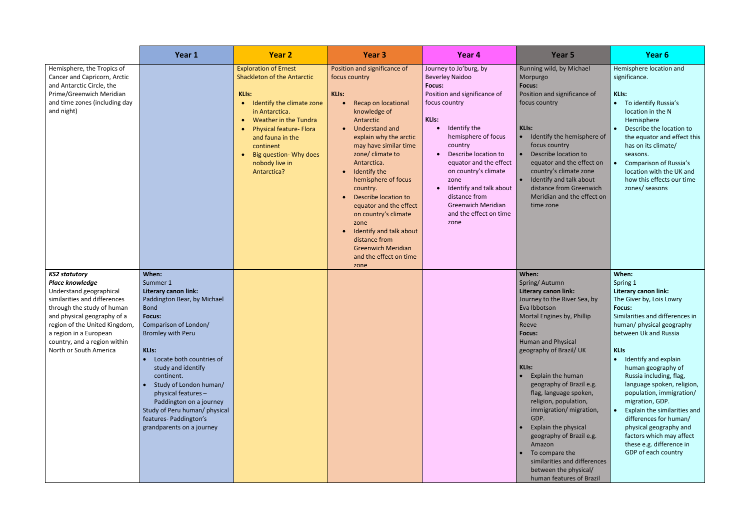|                                                                                                                                                                                                                                                                                      | Year 1                                                                                                                                                                                                                                                                                                                                                                                                            | <b>Year 2</b>                                                                                                                                                                                                                                                                                                                                | Year <sub>3</sub>                                                                                                                                                                                                                                                                                                                                                                                                                                                                       | Year 4                                                                                                                                                                                                                                                                                                                                                                     | Year 5                                                                                                                                                                                                                                                                                                                                                                                                                                                                                                                                             | Year <sub>6</sub>                                                                                                                                                                                                                                                                                                                                                                                                                                                                                                                    |
|--------------------------------------------------------------------------------------------------------------------------------------------------------------------------------------------------------------------------------------------------------------------------------------|-------------------------------------------------------------------------------------------------------------------------------------------------------------------------------------------------------------------------------------------------------------------------------------------------------------------------------------------------------------------------------------------------------------------|----------------------------------------------------------------------------------------------------------------------------------------------------------------------------------------------------------------------------------------------------------------------------------------------------------------------------------------------|-----------------------------------------------------------------------------------------------------------------------------------------------------------------------------------------------------------------------------------------------------------------------------------------------------------------------------------------------------------------------------------------------------------------------------------------------------------------------------------------|----------------------------------------------------------------------------------------------------------------------------------------------------------------------------------------------------------------------------------------------------------------------------------------------------------------------------------------------------------------------------|----------------------------------------------------------------------------------------------------------------------------------------------------------------------------------------------------------------------------------------------------------------------------------------------------------------------------------------------------------------------------------------------------------------------------------------------------------------------------------------------------------------------------------------------------|--------------------------------------------------------------------------------------------------------------------------------------------------------------------------------------------------------------------------------------------------------------------------------------------------------------------------------------------------------------------------------------------------------------------------------------------------------------------------------------------------------------------------------------|
| Hemisphere, the Tropics of<br>Cancer and Capricorn, Arctic<br>and Antarctic Circle, the<br>Prime/Greenwich Meridian<br>and time zones (including day<br>and night)                                                                                                                   |                                                                                                                                                                                                                                                                                                                                                                                                                   | <b>Exploration of Ernest</b><br><b>Shackleton of the Antarctic</b><br><b>KLIs:</b><br>Identify the climate zone<br>$\bullet$<br>in Antarctica.<br>Weather in the Tundra<br>$\bullet$<br><b>Physical feature- Flora</b><br>$\bullet$<br>and fauna in the<br>continent<br>Big question- Why does<br>$\bullet$<br>nobody live in<br>Antarctica? | Position and significance of<br>focus country<br><b>KLIs:</b><br><b>Recap on locational</b><br>knowledge of<br>Antarctic<br><b>Understand and</b><br>explain why the arctic<br>may have similar time<br>zone/ climate to<br>Antarctica.<br>Identify the<br>hemisphere of focus<br>country.<br>Describe location to<br>equator and the effect<br>on country's climate<br>zone<br>Identify and talk about<br>distance from<br><b>Greenwich Meridian</b><br>and the effect on time<br>zone | Journey to Jo'burg, by<br><b>Beverley Naidoo</b><br><b>Focus:</b><br>Position and significance of<br>focus country<br>KLIs:<br>Identify the<br>hemisphere of focus<br>country<br>Describe location to<br>equator and the effect<br>on country's climate<br>zone<br>Identify and talk about<br>distance from<br><b>Greenwich Meridian</b><br>and the effect on time<br>zone | Running wild, by Michael<br>Morpurgo<br><b>Focus:</b><br>Position and significance of<br>focus country<br><b>KLIs:</b><br>• Identify the hemisphere of<br>focus country<br>Describe location to<br>equator and the effect on<br>country's climate zone<br>Identify and talk about<br>distance from Greenwich<br>Meridian and the effect on<br>time zone                                                                                                                                                                                            | Hemisphere location and<br>significance.<br><b>KLIs:</b><br>To identify Russia's<br>$\bullet$<br>location in the N<br>Hemisphere<br>Describe the location to<br>$\bullet$<br>the equator and effect this<br>has on its climate/<br>seasons.<br><b>Comparison of Russia's</b><br>location with the UK and<br>how this effects our time<br>zones/ seasons                                                                                                                                                                              |
| <b>KS2 statutory</b><br>Place knowledge<br>Understand geographical<br>similarities and differences<br>through the study of human<br>and physical geography of a<br>region of the United Kingdom,<br>a region in a European<br>country, and a region within<br>North or South America | When:<br>Summer 1<br><b>Literary canon link:</b><br>Paddington Bear, by Michael<br><b>Bond</b><br>Focus:<br>Comparison of London/<br><b>Bromley with Peru</b><br><b>KLIs:</b><br>Locate both countries of<br>study and identify<br>continent.<br>Study of London human/<br>physical features -<br>Paddington on a journey<br>Study of Peru human/ physical<br>features- Paddington's<br>grandparents on a journey |                                                                                                                                                                                                                                                                                                                                              |                                                                                                                                                                                                                                                                                                                                                                                                                                                                                         |                                                                                                                                                                                                                                                                                                                                                                            | When:<br>Spring/ Autumn<br><b>Literary canon link:</b><br>Journey to the River Sea, by<br>Eva Ibbotson<br>Mortal Engines by, Phillip<br>Reeve<br><b>Focus:</b><br><b>Human and Physical</b><br>geography of Brazil/ UK<br>KLIs:<br><b>Explain the human</b><br>geography of Brazil e.g.<br>flag, language spoken,<br>religion, population,<br>immigration/ migration,<br>GDP.<br>Explain the physical<br>geography of Brazil e.g.<br>Amazon<br>To compare the<br>similarities and differences<br>between the physical/<br>human features of Brazil | When:<br>Spring 1<br><b>Literary canon link:</b><br>The Giver by, Lois Lowry<br>Focus:<br>Similarities and differences in<br>human/ physical geography<br>between Uk and Russia<br><b>KLIs</b><br>Identify and explain<br>$\bullet$<br>human geography of<br>Russia including, flag,<br>language spoken, religion,<br>population, immigration/<br>migration, GDP.<br>Explain the similarities and<br>differences for human/<br>physical geography and<br>factors which may affect<br>these e.g. difference in<br>GDP of each country |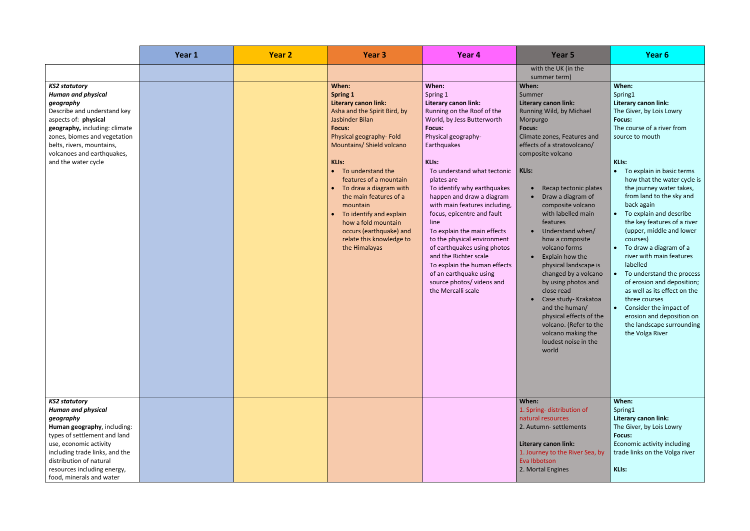|                                                                                                                                                                                                                                                                                 | Year 1 | <b>Year 2</b> | Year <sub>3</sub>                                                                                                                                                                                                                                                                                                                                                                                                                                                             | Year 4                                                                                                                                                                                                                                                                                                                                                                                                                                                                                                                                                                                          | Year <sub>5</sub>                                                                                                                                                                                                                                                                                                                                                                                                                                                                                                             | Year 6                                                                                                                                                                                                                                                                                                                                                                                                                                                                                                                                                  |
|---------------------------------------------------------------------------------------------------------------------------------------------------------------------------------------------------------------------------------------------------------------------------------|--------|---------------|-------------------------------------------------------------------------------------------------------------------------------------------------------------------------------------------------------------------------------------------------------------------------------------------------------------------------------------------------------------------------------------------------------------------------------------------------------------------------------|-------------------------------------------------------------------------------------------------------------------------------------------------------------------------------------------------------------------------------------------------------------------------------------------------------------------------------------------------------------------------------------------------------------------------------------------------------------------------------------------------------------------------------------------------------------------------------------------------|-------------------------------------------------------------------------------------------------------------------------------------------------------------------------------------------------------------------------------------------------------------------------------------------------------------------------------------------------------------------------------------------------------------------------------------------------------------------------------------------------------------------------------|---------------------------------------------------------------------------------------------------------------------------------------------------------------------------------------------------------------------------------------------------------------------------------------------------------------------------------------------------------------------------------------------------------------------------------------------------------------------------------------------------------------------------------------------------------|
| <b>KS2 statutory</b><br><b>Human and physical</b><br>geography<br>Describe and understand key<br>aspects of: physical<br>geography, including: climate<br>zones, biomes and vegetation<br>belts, rivers, mountains,<br>volcanoes and earthquakes,<br>and the water cycle        |        |               | When:<br><b>Spring 1</b><br>Literary canon link:<br>Asha and the Spirit Bird, by<br>Jasbinder Bilan<br><b>Focus:</b><br>Physical geography- Fold<br>Mountains/ Shield volcano<br><b>KLIs:</b><br>To understand the<br>$\bullet$<br>features of a mountain<br>To draw a diagram with<br>$\bullet$<br>the main features of a<br>mountain<br>To identify and explain<br>$\bullet$<br>how a fold mountain<br>occurs (earthquake) and<br>relate this knowledge to<br>the Himalayas | When:<br>Spring 1<br>Literary canon link:<br>Running on the Roof of the<br>World, by Jess Butterworth<br><b>Focus:</b><br>Physical geography-<br>Earthquakes<br><b>KLIs:</b><br>To understand what tectonic<br>plates are<br>To identify why earthquakes<br>happen and draw a diagram<br>with main features including,<br>focus, epicentre and fault<br>line<br>To explain the main effects<br>to the physical environment<br>of earthquakes using photos<br>and the Richter scale<br>To explain the human effects<br>of an earthquake using<br>source photos/ videos and<br>the Mercalli scale | with the UK (in the<br>summer term)<br>When:<br>Summer<br>Literary canon link:<br>Running Wild, by Michael<br>Morpurgo<br><b>Focus:</b><br>Climate zones, Features and<br>effects of a stratovolcano/<br>composite volcano<br><b>KLIs:</b><br>Recap tectonic plates<br>Draw a diagram of<br>composite volcano<br>with labelled main<br>features<br>Understand when/<br>how a composite<br>volcano forms<br>Explain how the<br>$\bullet$<br>physical landscape is<br>changed by a volcano<br>by using photos and<br>close read | When:<br>Spring1<br><b>Literary canon link:</b><br>The Giver, by Lois Lowry<br><b>Focus:</b><br>The course of a river from<br>source to mouth<br>KLIs:<br>To explain in basic terms<br>how that the water cycle is<br>the journey water takes,<br>from land to the sky and<br>back again<br>To explain and describe<br>the key features of a river<br>(upper, middle and lower<br>courses)<br>To draw a diagram of a<br>river with main features<br>labelled<br>To understand the process<br>of erosion and deposition;<br>as well as its effect on the |
|                                                                                                                                                                                                                                                                                 |        |               |                                                                                                                                                                                                                                                                                                                                                                                                                                                                               |                                                                                                                                                                                                                                                                                                                                                                                                                                                                                                                                                                                                 | Case study- Krakatoa<br>and the human/<br>physical effects of the<br>volcano. (Refer to the<br>volcano making the<br>loudest noise in the<br>world                                                                                                                                                                                                                                                                                                                                                                            | three courses<br>Consider the impact of<br>erosion and deposition on<br>the landscape surrounding<br>the Volga River                                                                                                                                                                                                                                                                                                                                                                                                                                    |
| <b>KS2 statutory</b><br><b>Human and physical</b><br>geography<br>Human geography, including:<br>types of settlement and land<br>use, economic activity<br>including trade links, and the<br>distribution of natural<br>resources including energy,<br>food, minerals and water |        |               |                                                                                                                                                                                                                                                                                                                                                                                                                                                                               |                                                                                                                                                                                                                                                                                                                                                                                                                                                                                                                                                                                                 | When:<br>1. Spring-distribution of<br>natural resources<br>2. Autumn- settlements<br>Literary canon link:<br>1. Journey to the River Sea, by<br>Eva Ibbotson<br>2. Mortal Engines                                                                                                                                                                                                                                                                                                                                             | When:<br>Spring1<br>Literary canon link:<br>The Giver, by Lois Lowry<br><b>Focus:</b><br>Economic activity including<br>trade links on the Volga river<br>KLIs:                                                                                                                                                                                                                                                                                                                                                                                         |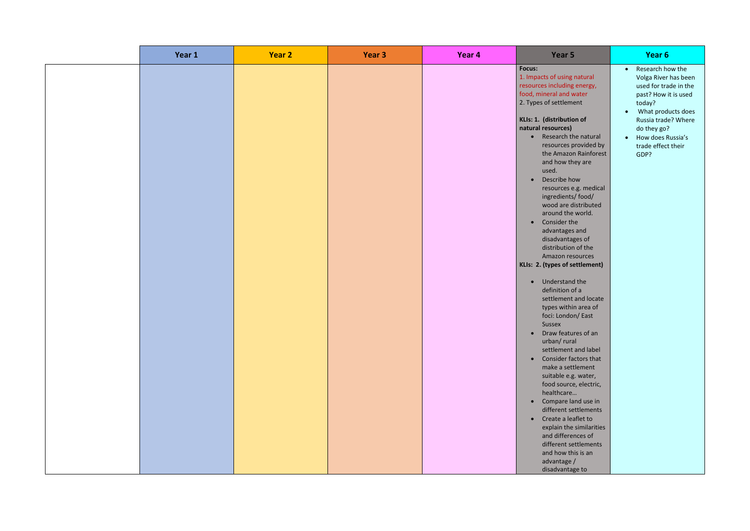| Year 1 | Year 2 | Year 3 | Year 4 | Year 5                                                                                                                                                                                                                                                                                                                                                                                                                                                                                                                                                     | Year 6                                                                                                                                                                                                             |
|--------|--------|--------|--------|------------------------------------------------------------------------------------------------------------------------------------------------------------------------------------------------------------------------------------------------------------------------------------------------------------------------------------------------------------------------------------------------------------------------------------------------------------------------------------------------------------------------------------------------------------|--------------------------------------------------------------------------------------------------------------------------------------------------------------------------------------------------------------------|
|        |        |        |        | <b>Focus:</b><br>1. Impacts of using natural<br>resources including energy,<br>food, mineral and water<br>2. Types of settlement<br>KLIs: 1. (distribution of<br>natural resources)<br>• Research the natural<br>resources provided by<br>the Amazon Rainforest<br>and how they are<br>used.<br>Describe how<br>$\bullet$<br>resources e.g. medical<br>ingredients/food/<br>wood are distributed<br>around the world.<br>• Consider the<br>advantages and<br>disadvantages of<br>distribution of the<br>Amazon resources<br>KLIs: 2. (types of settlement) | Research how the<br>Volga River has been<br>used for trade in the<br>past? How it is used<br>today?<br>What products does<br>Russia trade? Where<br>do they go?<br>How does Russia's<br>trade effect their<br>GDP? |
|        |        |        |        | • Understand the<br>definition of a<br>settlement and locate<br>types within area of<br>foci: London/East<br>Sussex<br>• Draw features of an<br>urban/ rural<br>settlement and label<br>Consider factors that<br>$\bullet$<br>make a settlement<br>suitable e.g. water,<br>food source, electric,<br>healthcare<br>• Compare land use in<br>different settlements<br>• Create a leaflet to<br>explain the similarities<br>and differences of<br>different settlements<br>and how this is an<br>advantage /<br>disadvantage to                              |                                                                                                                                                                                                                    |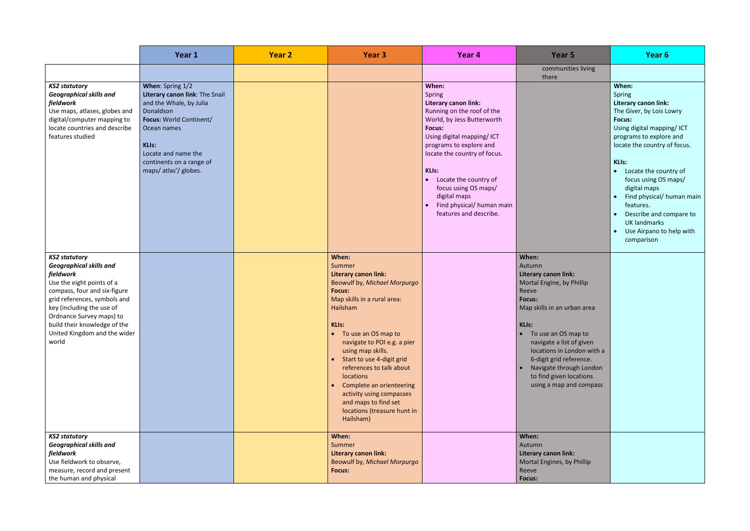|                                                                                                                                                                                                                                                                                                    | Year 1                                                                                                                                                                                                                    | <b>Year 2</b> | Year <sub>3</sub>                                                                                                                                                                                                                                                                                                                                                                                                                             | Year <sub>4</sub>                                                                                                                                                                                                                                                                                                                                          | Year <sub>5</sub>                                                                                                                                                                                                                                                                                                                   | Year 6                                                                                                                                                                                                                                                                                                                                                                                                                         |
|----------------------------------------------------------------------------------------------------------------------------------------------------------------------------------------------------------------------------------------------------------------------------------------------------|---------------------------------------------------------------------------------------------------------------------------------------------------------------------------------------------------------------------------|---------------|-----------------------------------------------------------------------------------------------------------------------------------------------------------------------------------------------------------------------------------------------------------------------------------------------------------------------------------------------------------------------------------------------------------------------------------------------|------------------------------------------------------------------------------------------------------------------------------------------------------------------------------------------------------------------------------------------------------------------------------------------------------------------------------------------------------------|-------------------------------------------------------------------------------------------------------------------------------------------------------------------------------------------------------------------------------------------------------------------------------------------------------------------------------------|--------------------------------------------------------------------------------------------------------------------------------------------------------------------------------------------------------------------------------------------------------------------------------------------------------------------------------------------------------------------------------------------------------------------------------|
|                                                                                                                                                                                                                                                                                                    |                                                                                                                                                                                                                           |               |                                                                                                                                                                                                                                                                                                                                                                                                                                               |                                                                                                                                                                                                                                                                                                                                                            | communities living<br>there                                                                                                                                                                                                                                                                                                         |                                                                                                                                                                                                                                                                                                                                                                                                                                |
| <b>KS2 statutory</b><br><b>Geographical skills and</b><br>fieldwork<br>Use maps, atlases, globes and<br>digital/computer mapping to<br>locate countries and describe<br>features studied                                                                                                           | When: Spring 1/2<br>Literary canon link: The Snail<br>and the Whale, by Julia<br>Donaldson<br>Focus: World Continent/<br>Ocean names<br>KLIs:<br>Locate and name the<br>continents on a range of<br>maps/ atlas'/ globes. |               |                                                                                                                                                                                                                                                                                                                                                                                                                                               | When:<br>Spring<br>Literary canon link:<br>Running on the roof of the<br>World, by Jess Butterworth<br><b>Focus:</b><br>Using digital mapping/ICT<br>programs to explore and<br>locate the country of focus.<br>KLIs:<br>Locate the country of<br>$\bullet$<br>focus using OS maps/<br>digital maps<br>Find physical/ human main<br>features and describe. |                                                                                                                                                                                                                                                                                                                                     | When:<br>Spring<br>Literary canon link:<br>The Giver, by Lois Lowry<br><b>Focus:</b><br>Using digital mapping/ ICT<br>programs to explore and<br>locate the country of focus.<br><b>KLIs:</b><br>Locate the country of<br>$\bullet$<br>focus using OS maps/<br>digital maps<br>Find physical/ human main<br>features.<br>Describe and compare to<br><b>UK landmarks</b><br>Use Airpano to help with<br>$\bullet$<br>comparison |
| <b>KS2 statutory</b><br><b>Geographical skills and</b><br>fieldwork<br>Use the eight points of a<br>compass, four and six-figure<br>grid references, symbols and<br>key (including the use of<br>Ordnance Survey maps) to<br>build their knowledge of the<br>United Kingdom and the wider<br>world |                                                                                                                                                                                                                           |               | When:<br>Summer<br>Literary canon link:<br><b>Beowulf by, Michael Morpurgo</b><br><b>Focus:</b><br>Map skills in a rural area:<br>Hailsham<br>KLIs:<br>To use an OS map to<br>$\bullet$<br>navigate to POI e.g. a pier<br>using map skills.<br>Start to use 4-digit grid<br>references to talk about<br>locations<br>Complete an orienteering<br>activity using compasses<br>and maps to find set<br>locations (treasure hunt in<br>Hailsham) |                                                                                                                                                                                                                                                                                                                                                            | When:<br>Autumn<br>Literary canon link:<br>Mortal Engine, by Phillip<br>Reeve<br><b>Focus:</b><br>Map skills in an urban area<br>KLIs:<br>To use an OS map to<br>navigate a list of given<br>locations in London with a<br>6-digit grid reference.<br>Navigate through London<br>to find given locations<br>using a map and compass |                                                                                                                                                                                                                                                                                                                                                                                                                                |
| <b>KS2 statutory</b><br><b>Geographical skills and</b><br>fieldwork<br>Use fieldwork to observe,<br>measure, record and present<br>the human and physical                                                                                                                                          |                                                                                                                                                                                                                           |               | When:<br>Summer<br>Literary canon link:<br>Beowulf by, Michael Morpurgo<br><b>Focus:</b>                                                                                                                                                                                                                                                                                                                                                      |                                                                                                                                                                                                                                                                                                                                                            | When:<br>Autumn<br>Literary canon link:<br>Mortal Engines, by Phillip<br>Reeve<br><b>Focus:</b>                                                                                                                                                                                                                                     |                                                                                                                                                                                                                                                                                                                                                                                                                                |